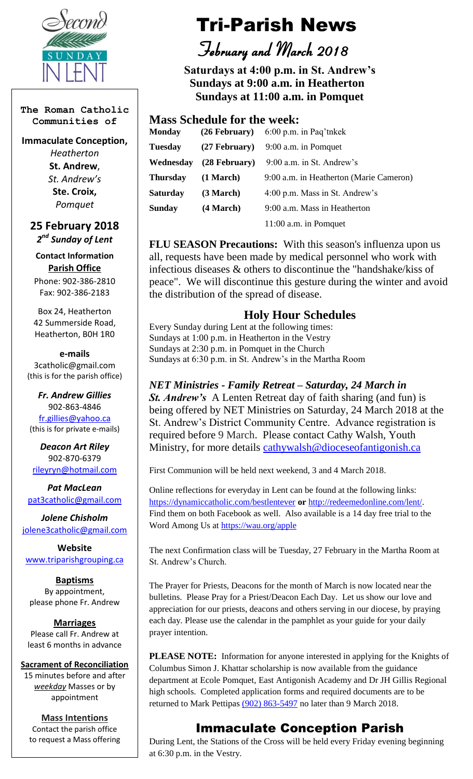

**The Roman Catholic Communities of**

**Immaculate Conception,** 

*Heatherton* **St. Andrew**, *St. Andrew's* **Ste. Croix,** *Pomquet*

**25 February 2018** *2 nd Sunday of Lent*

**Contact Information Parish Office**

Phone: 902-386-2810 Fax: 902-386-2183

Box 24, Heatherton 42 Summerside Road, Heatherton, B0H 1R0

**e-mails** 3catholic@gmail.com (this is for the parish office)

*Fr. Andrew Gillies* 902-863-4846 [fr.gillies@yahoo.ca](mailto:fr.gillies@yahoo.ca) (this is for private e-mails)

*Deacon Art Riley* 902-870-6379 [rileyryn@hotmail.com](mailto:rileyryn@hotmail.com)

*Pat MacLean* [pat3catholic@gmail.com](mailto:rileyryn@hotmail.com)

*Jolene Chisholm* [jolene3catholic@gmail.com](mailto:jolene3catholic@gmail.com)

**Website** [www.triparishgrouping.ca](http://www.triparishgrouping.ca/)

**Baptisms** By appointment, please phone Fr. Andrew

**Marriages** Please call Fr. Andrew at least 6 months in advance

**Sacrament of Reconciliation** 15 minutes before and after *weekday* Masses or by appointment

**Mass Intentions** Contact the parish office to request a Mass offering

# Tri-Parish News

 *February and March 2018*

 **Saturdays at 4:00 p.m. in St. Andrew's Sundays at 9:00 a.m. in Heatherton Sundays at 11:00 a.m. in Pomquet**

## **Mass Schedule for the week:**

| <b>Monday</b>   | $(26$ February) | $6:00$ p.m. in Paq'tnkek                |
|-----------------|-----------------|-----------------------------------------|
| <b>Tuesday</b>  | $(27$ February) | 9:00 a.m. in Pomquet                    |
| Wednesday       | $(28$ February) | 9:00 a.m. in St. Andrew's               |
| <b>Thursday</b> | $(1$ March $)$  | 9:00 a.m. in Heatherton (Marie Cameron) |
| <b>Saturday</b> | (3 March)       | 4:00 p.m. Mass in St. Andrew's          |
| <b>Sunday</b>   | $(4$ March $)$  | 9:00 a.m. Mass in Heatherton            |
|                 |                 | 11:00 a.m. in Pomquet                   |

**FLU SEASON Precautions:** With this season's influenza upon us all, requests have been made by medical personnel who work with infectious diseases & others to discontinue the "handshake/kiss of peace". We will discontinue this gesture during the winter and avoid the distribution of the spread of disease.

# **Holy Hour Schedules**

Every Sunday during Lent at the following times: Sundays at 1:00 p.m. in Heatherton in the Vestry Sundays at 2:30 p.m. in Pomquet in the Church Sundays at 6:30 p.m. in St. Andrew's in the Martha Room

### *NET Ministries - Family Retreat – Saturday, 24 March in*

*St. Andrew's* A Lenten Retreat day of faith sharing (and fun) is being offered by NET Ministries on Saturday, 24 March 2018 at the St. Andrew's District Community Centre. Advance registration is required before 9 March. Please contact Cathy Walsh, Youth Ministry, for more details cathywalsh@dioceseofantigonish.ca

First Communion will be held next weekend, 3 and 4 March 2018.

Online reflections for everyday in Lent can be found at the following links: <https://dynamiccatholic.com/bestlentever> **or** [http://redeemedonline.com/lent/.](http://redeemedonline.com/lent/) Find them on both Facebook as well. Also available is a 14 day free trial to the Word Among Us at<https://wau.org/apple>

The next Confirmation class will be Tuesday, 27 February in the Martha Room at St. Andrew's Church.

The Prayer for Priests, Deacons for the month of March is now located near the bulletins. Please Pray for a Priest/Deacon Each Day. Let us show our love and appreciation for our priests, deacons and others serving in our diocese, by praying each day. Please use the calendar in the pamphlet as your guide for your daily prayer intention.

**PLEASE NOTE:** Information for anyone interested in applying for the Knights of Columbus Simon J. Khattar scholarship is now available from the guidance department at Ecole Pomquet, East Antigonish Academy and Dr JH Gillis Regional high schools. Completed application forms and required documents are to be returned to Mark Pettipas [\(902\) 863-5497](tel:%28902%29%20863-5497) no later than 9 March 2018.

# Immaculate Conception Parish

During Lent, the Stations of the Cross will be held every Friday evening beginning at 6:30 p.m. in the Vestry.